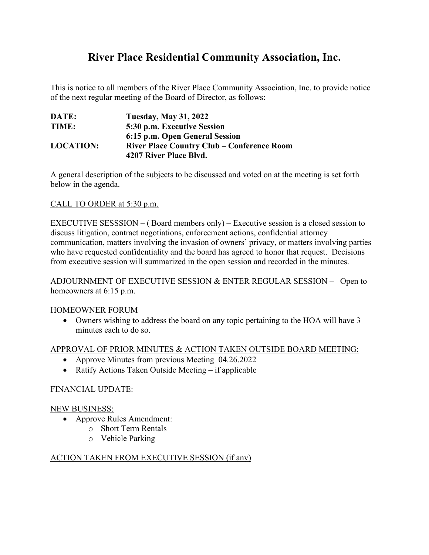# **River Place Residential Community Association, Inc.**

This is notice to all members of the River Place Community Association, Inc. to provide notice of the next regular meeting of the Board of Director, as follows:

| DATE:            | <b>Tuesday, May 31, 2022</b>                      |
|------------------|---------------------------------------------------|
| TIME:            | 5:30 p.m. Executive Session                       |
|                  | 6:15 p.m. Open General Session                    |
| <b>LOCATION:</b> | <b>River Place Country Club – Conference Room</b> |
|                  | 4207 River Place Blvd.                            |

A general description of the subjects to be discussed and voted on at the meeting is set forth below in the agenda.

### CALL TO ORDER at 5:30 p.m.

EXECUTIVE SESSSION – ( Board members only) – Executive session is a closed session to discuss litigation, contract negotiations, enforcement actions, confidential attorney communication, matters involving the invasion of owners' privacy, or matters involving parties who have requested confidentiality and the board has agreed to honor that request. Decisions from executive session will summarized in the open session and recorded in the minutes.

### ADJOURNMENT OF EXECUTIVE SESSION & ENTER REGULAR SESSION – Open to homeowners at 6:15 p.m.

#### HOMEOWNER FORUM

• Owners wishing to address the board on any topic pertaining to the HOA will have 3 minutes each to do so.

# APPROVAL OF PRIOR MINUTES & ACTION TAKEN OUTSIDE BOARD MEETING:

- Approve Minutes from previous Meeting 04.26.2022
- Ratify Actions Taken Outside Meeting if applicable

# FINANCIAL UPDATE:

#### NEW BUSINESS:

- Approve Rules Amendment:
	- o Short Term Rentals
	- o Vehicle Parking

#### ACTION TAKEN FROM EXECUTIVE SESSION (if any)